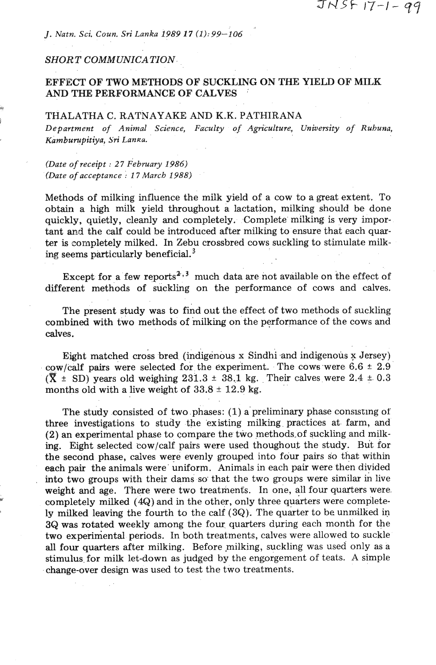*J. Natn. Sci. Coun. Sri Lanka 1989 17 (1):99-106* 

### *SHORT COMMUNICATION.*

\*.

# **EFFECT OF TWO** METHODS **OF** SUCKLING ON **THE** YIELD **OF** MILK AND **THE** PERFORMANCE OF CALVES

## THALATHA C. RATNAYAKE AND K.K. PATHIRANA **<sup>r</sup>**

*Department* **of** *Animal Science, Faculty* **of** *Agriculture, University* **of** *Ruhuna,*  Kamburupitiya, Sri Lanka.

.. *(Date* **of** *receipt* : **2 7** *February 1986) (Date* **of** *acceptance 17 March 1988)* 

Methods of milking influence the milk yield of a cow to a great extent. To obtain a high milk yield throughout a lactation, milking should be done quickly, quietly, cleanly and completely. Complete milking is very important and the calf could be introduced after milking to ensure that each quarter is completely milked. In Zebu crossbred cows suckling to stimulate milking seems particularly beneficial. $3$ 

Except for a few reports<sup>2, 3</sup> much data are not available on the effect of different methods of suckling on the performance of cows and calves.

The present study was to find out the effect of two methods of suckling combined with two methods of milking on the performance of the cows and calves.

Eight matched cross bred (indigenous **x** Sindhi and indigenous **x** Jersey) cow/calf pairs were selected for the experiment. The cows were  $6.6 \pm 2.9$  $(\overline{X} \pm SD)$  years old weighing 231.3  $\pm$  38.1 kg. Their calves were 2.4  $\pm$  0.3 months old with a live weight of  $33.8 \pm 12.9$  kg.

The study consisted of two phases: (1) a preliminary phase consisting of three investigations to study the existing milking practices at farm, and (2) an experimental phase to compare the two methods-of suckling and milk**ing.** Eight selected cow/calf pairs were used thoughout the study. But for the second phase, calves were evenly grouped into four pairs so that within each pair the animals were uniform. Animals in each pair were then divided into two groups with their dams so that the two groups were similar in live weight and age. There were two treatments. In one, all four quarters were. completely milked  $(4Q)$  and in the other, only three quarters were completely milked leaving the fourth to the calf **(3Q).** The quarter to be unmilked in **3Q** was rotated weekly among the four quarters during each month for the two experiniental periods. In both treatments, calves were allowed to suckle **all** four quarters after milking. Before milking, suckling was used only as a stimulus for milk let-down as judged by the engorgement of teats. A simple change-over design was used to test the two treatments.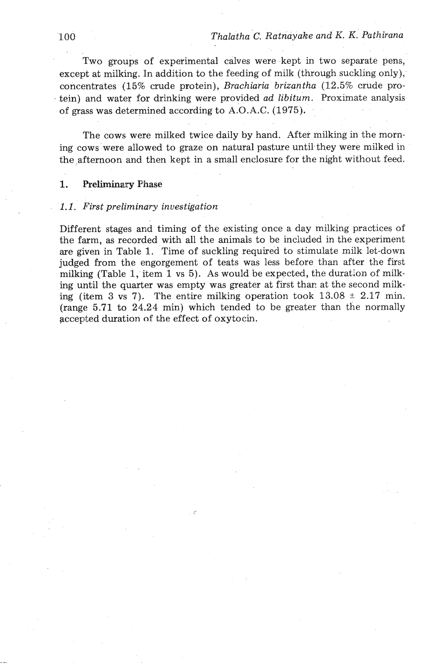Two groups of experimental calves were kept in two separate pens, except at milking. In addition to the feeding of milk (through suckling only), concentrates (15% crude protein), *Brachiaria brizantha* (12.5% crude protein) and water for drinking were provided *ad libitum.* Proximate analysis of grass was determined according to A.O.A.C. (1975).

The cows were milked twice daily by hand. After milking in the morning cows were allowed to graze on natural pasture until they were milked in the afternoon and then kept in a small enclosure for the night without feed.

#### **1.** Preliminary Phase

#### *1.1. First preliminary investigation*

Different stages and timing of the existing once a day milking practices of the farm, as recorded with all the animals to be included in the experiment are given in Table 1. Time of suckling required to stimulate milk let-down judged from the engorgement of teats was less before than after the first milking (Table 1, item 1 vs 5). As would be expected, the duration of milking until the quarter was empty was greater at first than at the second milking (item 3  $\text{vs } 7$ ). The entire milking operation took  $13.08 \pm 2.17$  min. (range 5.71 to **24.24** min) which tended to be greater than the normally accepted duration of the effect of oxytocin.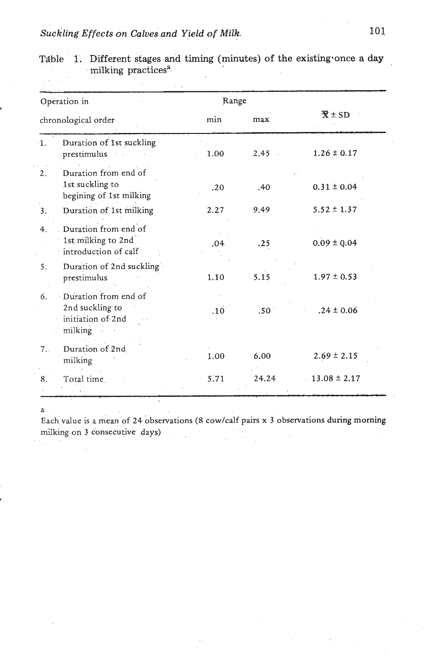|            | Operation in                                                            | Range             |       |                                         |  |
|------------|-------------------------------------------------------------------------|-------------------|-------|-----------------------------------------|--|
|            | chronological order                                                     | min               | max   | $\overline{\mathbf{X}} \pm \mathbf{SD}$ |  |
| $\cdot$ 1. | Duration of 1st suckling<br>prestimulus                                 | 1.00              | 2.45  | $1.26 \pm 0.17$                         |  |
| 2.         | Duration from end of<br>1st suckling to<br>begining of 1st milking      | .20               | .40   | $0.31 \pm 0.04$                         |  |
| 3.         | Duration of 1st milking                                                 | 2.27              | 9.49  | $5.52 \pm 1.37$                         |  |
| 4.         | Duration from end of<br>1st milking to 2nd<br>introduction of calf      | .04               | .25   | $0.09 \pm 0.04$                         |  |
| 5.         | Duration of 2nd suckling<br>prestimulus                                 | 1.10              | 5.15  | $1.97 \pm 0.53$                         |  |
| 6.         | Duration from end of<br>2nd suckling to<br>initiation of 2nd<br>milking | .10 <sup>°</sup>  | :50   | $.24 \pm 0.06$                          |  |
| 7.         | Duration of 2nd<br>milking                                              | 1.00 <sup>1</sup> | 6.00  | $2.69 \pm 2.15$                         |  |
| 8.         | Total time                                                              | $-5.71$           | 24.24 | $13.08 \pm 2.17$                        |  |

|  | Table 1. Different stages and timing (minutes) of the existing once a day |  |  |  |
|--|---------------------------------------------------------------------------|--|--|--|
|  | milking practices <sup>a</sup>                                            |  |  |  |

a

**r** 

~ach'value is a mean of **24** bbservations (8 cowlcalf **pairs x 3** observations during morning milking on 3 consecutive days)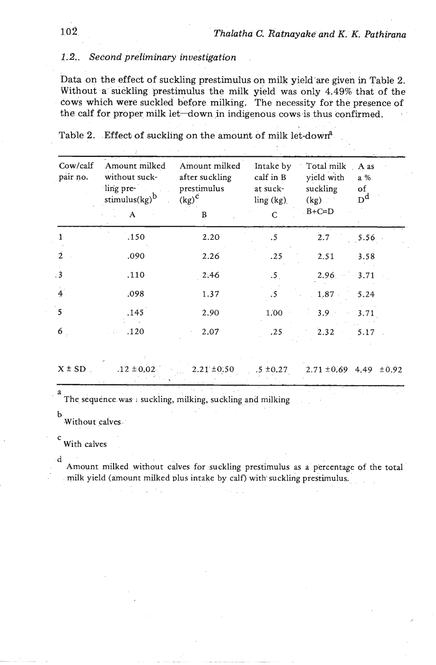# *1.2.. Second preliminary investigation*

Data on the effect of suckling prestimulus on milk yield'are given in Table 2. Without a suckling prestimulus the milk yield was only 4.49% that of the cows which were suckled before milking. The necessity for the presence of the calf for proper milk let-down in indigenous cows is thus confirmed.

| Cow/calf<br>pair no.     | Amount milked<br>without suck-<br>ling pre-<br>stimulus $\left(kg\right)^b$<br>$\mathbf{A}$ | Amount milked<br>after suckling<br>prestimulus<br>$\left(\text{kg}\right)^{\text{C}}$<br>B | Intake by<br>calf in B<br>at suck-<br>ling (kg)<br>C | Total milk<br>yield with<br>suckling<br>(kg)<br>$B+C=D$ | A as<br>a %<br>of<br>$D^d$ |
|--------------------------|---------------------------------------------------------------------------------------------|--------------------------------------------------------------------------------------------|------------------------------------------------------|---------------------------------------------------------|----------------------------|
| 1                        | .150                                                                                        | 2.20                                                                                       | .5                                                   | 2.7                                                     | 5.56                       |
| $\overline{2}$           | .090                                                                                        | 2.26                                                                                       | .25                                                  | 2.51                                                    | 3.58                       |
| $\cdot$ 3                | .110                                                                                        | 2.46                                                                                       | .5 <sub>1</sub>                                      | 2.96                                                    | 3.71                       |
| $\overline{4}$           | .098                                                                                        | 1.37                                                                                       | .5                                                   | $1.87 -$                                                | 5.24                       |
| $\overline{\phantom{a}}$ | .145                                                                                        | 2.90                                                                                       | 1.00                                                 | 3.9                                                     | 3.71                       |
| 6                        | .120                                                                                        | 2.07                                                                                       | .25                                                  | 2.32                                                    | 5.17                       |

Table 2. Effect of suckling on the amount of milk let-down<sup>2</sup>

| $X \pm SD$ | $.12 \pm 0.02$ | $2.21 \pm 0.50$ | $5 \pm 0.27$ $2.71 \pm 0.69$ 4.49 $\pm 0.92$ |  |
|------------|----------------|-----------------|----------------------------------------------|--|
|            |                |                 |                                              |  |
|            |                |                 |                                              |  |
|            |                |                 |                                              |  |

a The sequence was : suckling, milking, suckling and milking

b .Without calves

c<br>With calves

d

Amount milked without calves for suckling prestimulus as a percentage of the total milk yield (amount milked plus intake by calf) with suckling prestimulus.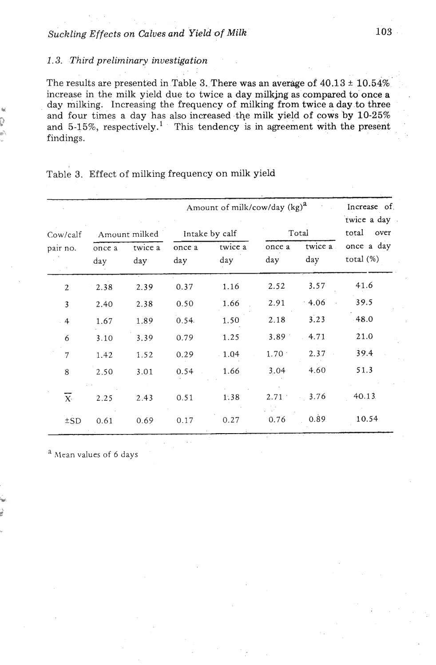# *1.3. Third preliminary investigation*

The results are presented in Table 3. There was an average of  $40.13 \pm 10.54\%$ increase in the milk yield due to twice a day **milkjng** as compared to once a day milking. Increasing the frequency of milking from twice a day to three and four times a day has also increased the milk yield of cows by 10-25% and  $5-15\%$ , respectively.<sup>1</sup> This tendency is in agreement with the present findings.

|                    |               | Increase of<br>twice a day |                |                |               |                |                            |  |
|--------------------|---------------|----------------------------|----------------|----------------|---------------|----------------|----------------------------|--|
| Cow/calf           | Amount milked |                            | Intake by calf |                | Total         |                | total<br>over              |  |
| pair no.           | once a<br>day | twice a<br>day             | once a<br>day  | twice a<br>day | once a<br>day | twice a<br>day | once a day<br>total $(\%)$ |  |
| $\mathbf{2}$       | 2.38          | 2.39                       | 0.37           | 1.16           | 2.52          | 3.57           | 41.6                       |  |
| 3                  | 2.40          | 2.38                       | 0.50           | 1.66           | 2.91          | 4.06           | 39.5                       |  |
| $\overline{4}$     | 1.67          | 1.89                       | 0.54.          | 1.50           | 2.18          | 3.23           | $-48.0$                    |  |
| 6                  | 3.10          | 3.39                       | 0.79           | 1.25           | 3.89          | 4.71           | 21.0                       |  |
| $\overline{7}$     | 1.42          | 1.52                       | 0.29           | $-1.04$        | $1.70 -$      | 2.37           | 39.4                       |  |
| 8                  | 2.50          | 3.01                       | 0.54           | 1.66           | 3.04          | 4.60           | 51.3                       |  |
| $\mathbf{X} \cdot$ | 2.25          | 2.43                       | 0.51           | 1.38           | 2.71          | 3.76           | 40.13                      |  |
| ±SD                | 0.61          | 0.69                       | 0.17           | 0.27           | 0.76          | 0.89           | 10.54                      |  |

### Table **3.** Effect of milking frequency on milk yield

**a** hlran values of 6 days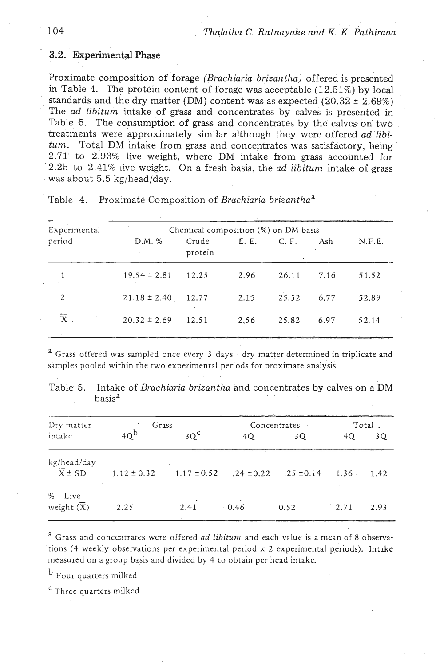### **3.2. Experimental Phase**

;Proximate composition of forage *(Brachiaria brizantha)* offered is presented in Table 4. The protein content of forage was acceptable (12.51%) by local standards and the dry matter (DM) content was as expected  $(20.32 \pm 2.69\%)$ The *ad libitum* intake of grass and concentrates by calves is presented in Table 5. The consumption of grass and concentrates by the calves on two treatments were approximately similar although they were offered *ad* **libi***tum.* Total DM intake from grass and concentrates was satisfactory, being 2.71 to 2.93% live vveight, where DM intake from grass accounted for 2.25 to 2.41% live weight. On a fresh basis, the *ad libitum* intake of grass was about 5.5 kg/head/day.

| Experimental    |                  | Chemical composition (%) on DM basis |                                   |             |      |        |  |
|-----------------|------------------|--------------------------------------|-----------------------------------|-------------|------|--------|--|
| period          | D.M. %           | Crude<br>protein                     |                                   | E. E. C. F. | Ash  | N.F.E. |  |
|                 | $19.54 \pm 2.81$ | 12.25                                | 2.96                              | 26.11       | 7.16 | 51.52  |  |
| $\overline{2}$  | $21.18 \pm 2.40$ | 12.77 2.15                           |                                   | 25.52       | 6.77 | 52.89  |  |
| $\sim$ X $\sim$ | $20.32 \pm 2.69$ | 12.51                                | 2.56<br>$\mathbf{r} = \mathbf{r}$ | 25.82       | 6.97 | 52.14  |  |

Table 4. Proximate Composition of *Brachiaria brizanthaa* 

<sup>a</sup> Grass offered was sampled once every 3 days; dry matter determined in triplicate and samples pooled within the two experimental periods for proximate analysis.

.. .

Table 5. Intake of *Brachiaria brizantha* and concentrates by calves on a DM . basis<sup>a</sup>

| Dry matter                           | Grass           |                 | Concentrates |                               |      | Total. |  |
|--------------------------------------|-----------------|-----------------|--------------|-------------------------------|------|--------|--|
| intake                               | 40 <sup>b</sup> | $3Q^{\text{c}}$ | 4Q           | 3Q                            | 4Q   | 3Q     |  |
| kg/head/day<br>$\overline{X} \pm SD$ | $1.12 \pm 0.32$ | $1.17 \pm 0.52$ |              | $.24 \pm 0.22$ $.25 \pm 0.14$ | 1.36 | 1.42   |  |
| % Live<br>weight $(\overline{X})$    | 2.25            | 2.41            | 0.46         | 0.52                          | 2.71 | 2.93   |  |

a Grass and concentrates were offered ad **libitum** and each value is a mean of 8 observa tions (4 weekly observations per experimental period x 2 experimental periods). Intake measured on a group basis and divided by 4 to obtain per head intake.

b Four quarters milked

<sup>c</sup> Three quarters milked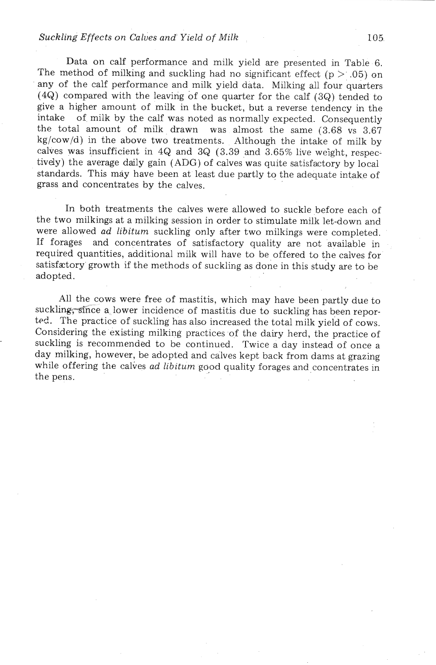### **Suckling** Effects on *Calves and' Yield* of *Milk*

Data on calf performance and milk yield are presented in Table 6. The method of milking and suckling had no significant effect ( $p > .05$ ) on any of the calf performance and milk yield data. Milking all four quarters (4Q) compared with the leaving of one quarter for the calf (3Q) tended to give a higher amount of milk in the bucket, but a reverse tendency in the intake of milk by the calf was noted as normally expected. Consequently the total amount of milk drawn was almost the same (3.68 vs 3.67 kg/cow/d) in the above two treatments. Although the intake of milk by calves was insufficient in 4Q and 3Q (3.39 and 3.65% live weight, respectively) the average daily gain (ADG) of calves was quite satisfactory by local standards. This may have been at least due partly to the adequate intake of grass and concentrates by the calves.

In both treatments the calves were allowed to suckle before each of the two milkings at a milking session in order to stimulate milk let-down and were allowed ad **libitum** suckling only after two milkings were completed. If forages and concentrates of satisfactory quality are not available in required quantities, additional milk will have to be offered to the calves for satisfactory growth if the methods of suckling as done in this study are to be adopted.

All the cows were free of mastitis, which may have been partly due to suckling, since a lower incidence of mastitis due to suckling has been reported. The practice of suckling has also increased the total milk yield of cows. Considering the existing milking practices of the dairy herd, the practice of suckling is recommended to be continued. Twice a day instead of once a day milking, however, be adopted and calves kept back from dams at grazing while offering the calves *ad libitum* good quality forages and concentrates in the pens.